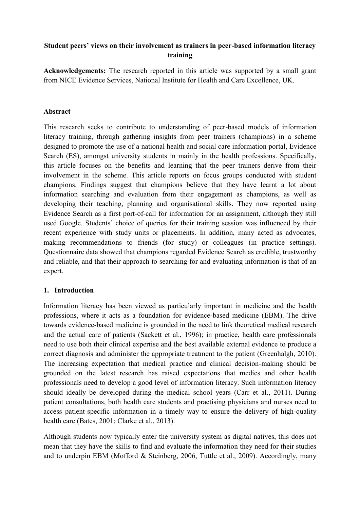## **Student peers' views on their involvement as trainers in peer-based information literacy training**

**Acknowledgements:** The research reported in this article was supported by a small grant from NICE Evidence Services, National Institute for Health and Care Excellence, UK.

## **Abstract**

This research seeks to contribute to understanding of peer-based models of information literacy training, through gathering insights from peer trainers (champions) in a scheme designed to promote the use of a national health and social care information portal, Evidence Search (ES), amongst university students in mainly in the health professions. Specifically, this article focuses on the benefits and learning that the peer trainers derive from their involvement in the scheme. This article reports on focus groups conducted with student champions. Findings suggest that champions believe that they have learnt a lot about information searching and evaluation from their engagement as champions, as well as developing their teaching, planning and organisational skills. They now reported using Evidence Search as a first port-of-call for information for an assignment, although they still used Google. Students' choice of queries for their training session was influenced by their recent experience with study units or placements. In addition, many acted as advocates, making recommendations to friends (for study) or colleagues (in practice settings). Questionnaire data showed that champions regarded Evidence Search as credible, trustworthy and reliable, and that their approach to searching for and evaluating information is that of an expert.

# **1. Introduction**

Information literacy has been viewed as particularly important in medicine and the health professions, where it acts as a foundation for evidence-based medicine (EBM). The drive towards evidence-based medicine is grounded in the need to link theoretical medical research and the actual care of patients (Sackett et al., 1996); in practice, health care professionals need to use both their clinical expertise and the best available external evidence to produce a correct diagnosis and administer the appropriate treatment to the patient (Greenhalgh, 2010). The increasing expectation that medical practice and clinical decision-making should be grounded on the latest research has raised expectations that medics and other health professionals need to develop a good level of information literacy. Such information literacy should ideally be developed during the medical school years (Carr et al., 2011). During patient consultations, both health care students and practising physicians and nurses need to access patient-specific information in a timely way to ensure the delivery of high-quality health care (Bates, 2001; Clarke et al., 2013).

Although students now typically enter the university system as digital natives, this does not mean that they have the skills to find and evaluate the information they need for their studies and to underpin EBM (Mofford & Steinberg, 2006, Tuttle et al., 2009). Accordingly, many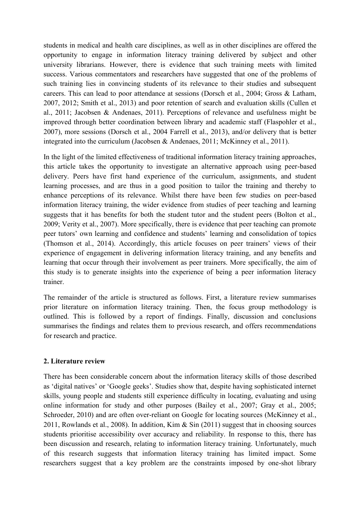students in medical and health care disciplines, as well as in other disciplines are offered the opportunity to engage in information literacy training delivered by subject and other university librarians. However, there is evidence that such training meets with limited success. Various commentators and researchers have suggested that one of the problems of such training lies in convincing students of its relevance to their studies and subsequent careers. This can lead to poor attendance at sessions (Dorsch et al., 2004; Gross & Latham, 2007, 2012; Smith et al., 2013) and poor retention of search and evaluation skills (Cullen et al., 2011; Jacobsen & Andenaes, 2011). Perceptions of relevance and usefulness might be improved through better coordination between library and academic staff (Flaspohler et al., 2007), more sessions (Dorsch et al., 2004 Farrell et al., 2013), and/or delivery that is better integrated into the curriculum (Jacobsen & Andenaes, 2011; McKinney et al., 2011).

In the light of the limited effectiveness of traditional information literacy training approaches, this article takes the opportunity to investigate an alternative approach using peer-based delivery. Peers have first hand experience of the curriculum, assignments, and student learning processes, and are thus in a good position to tailor the training and thereby to enhance perceptions of its relevance. Whilst there have been few studies on peer-based information literacy training, the wider evidence from studies of peer teaching and learning suggests that it has benefits for both the student tutor and the student peers (Bolton et al., 2009; Verity et al., 2007). More specifically, there is evidence that peer teaching can promote peer tutors' own learning and confidence and students' learning and consolidation of topics (Thomson et al., 2014). Accordingly, this article focuses on peer trainers' views of their experience of engagement in delivering information literacy training, and any benefits and learning that occur through their involvement as peer trainers. More specifically, the aim of this study is to generate insights into the experience of being a peer information literacy trainer.

The remainder of the article is structured as follows. First, a literature review summarises prior literature on information literacy training. Then, the focus group methodology is outlined. This is followed by a report of findings. Finally, discussion and conclusions summarises the findings and relates them to previous research, and offers recommendations for research and practice.

## **2. Literature review**

There has been considerable concern about the information literacy skills of those described as 'digital natives' or 'Google geeks'. Studies show that, despite having sophisticated internet skills, young people and students still experience difficulty in locating, evaluating and using online information for study and other purposes (Bailey et al., 2007; Gray et al., 2005; Schroeder, 2010) and are often over-reliant on Google for locating sources (McKinney et al., 2011, Rowlands et al., 2008). In addition, Kim & Sin (2011) suggest that in choosing sources students prioritise accessibility over accuracy and reliability. In response to this, there has been discussion and research, relating to information literacy training. Unfortunately, much of this research suggests that information literacy training has limited impact. Some researchers suggest that a key problem are the constraints imposed by one-shot library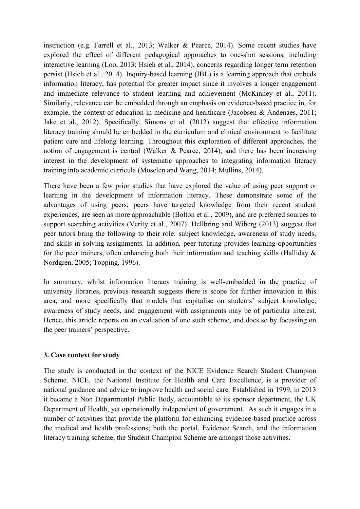instruction (e.g. Farrell et al*.*, 2013; Walker & Pearce, 2014). Some recent studies have explored the effect of different pedagogical approaches to one-shot sessions, including interactive learning (Loo, 2013; Hsieh et al., 2014), concerns regarding longer term retention persist (Hsieh et al., 2014). Inquiry-based learning (IBL) is a learning approach that embeds information literacy, has potential for greater impact since it involves a longer engagement and immediate relevance to student learning and achievement (McKinney et al., 2011). Similarly, relevance can be embedded through an emphasis on evidence-based practice in, for example, the context of education in medicine and healthcare (Jacobsen & Andenaes, 2011; Jake et al., 2012). Specifically, Simons et al. (2012) suggest that effective information literacy training should be embedded in the curriculum and clinical environment to facilitate patient care and lifelong learning. Throughout this exploration of different approaches, the notion of engagement is central (Walker & Pearce, 2014), and there has been increasing interest in the development of systematic approaches to integrating information literacy training into academic curricula (Moselen and Wang, 2014; Mullins, 2014).

There have been a few prior studies that have explored the value of using peer support or learning in the development of information literacy. These demonstrate some of the advantages of using peers; peers have targeted knowledge from their recent student experiences, are seen as more approachable (Bolton et al., 2009), and are preferred sources to support searching activities (Verity et al., 2007). Hellbring and Wiberg (2013) suggest that peer tutors bring the following to their role: subject knowledge, awareness of study needs, and skills in solving assignments. In addition, peer tutoring provides learning opportunities for the peer trainers, often enhancing both their information and teaching skills (Halliday  $\&$ Nordgren, 2005; Topping, 1996).

In summary, whilst information literacy training is well-embedded in the practice of university libraries, previous research suggests there is scope for further innovation in this area, and more specifically that models that capitalise on students' subject knowledge, awareness of study needs, and engagement with assignments may be of particular interest. Hence, this article reports on an evaluation of one such scheme, and does so by focussing on the peer trainers' perspective.

## **3. Case context for study**

The study is conducted in the context of the NICE Evidence Search Student Champion Scheme. NICE, the National Institute for Health and Care Excellence, is a provider of national guidance and advice to improve health and social care. Established in 1999, in 2013 it became a Non Departmental Public Body, accountable to its sponsor department, the UK Department of Health, yet operationally independent of government. As such it engages in a number of activities that provide the platform for enhancing evidence-based practice across the medical and health professions; both the portal, Evidence Search, and the information literacy training scheme, the Student Champion Scheme are amongst those activities.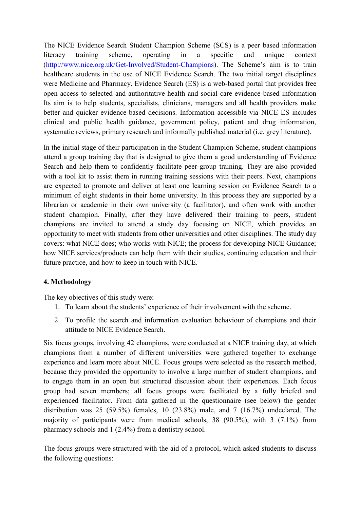The NICE Evidence Search Student Champion Scheme (SCS) is a peer based information literacy training scheme, operating in a specific and unique context [\(http://www.nice.org.uk/Get-Involved/Student-Champions\)](http://www.nice.org.uk/Get-Involved/Student-Champions). The Scheme's aim is to train healthcare students in the use of NICE Evidence Search. The two initial target disciplines were Medicine and Pharmacy. Evidence Search (ES) is a web-based portal that provides free open access to selected and authoritative health and social care evidence-based information Its aim is to help students, specialists, clinicians, managers and all health providers make better and quicker evidence-based decisions. Information accessible via NICE ES includes clinical and public health guidance, government policy, patient and drug information, systematic reviews, primary research and informally published material (i.e. grey literature).

In the initial stage of their participation in the Student Champion Scheme, student champions attend a group training day that is designed to give them a good understanding of Evidence Search and help them to confidently facilitate peer-group training. They are also provided with a tool kit to assist them in running training sessions with their peers. Next, champions are expected to promote and deliver at least one learning session on Evidence Search to a minimum of eight students in their home university. In this process they are supported by a librarian or academic in their own university (a facilitator), and often work with another student champion. Finally, after they have delivered their training to peers, student champions are invited to attend a study day focusing on NICE, which provides an opportunity to meet with students from other universities and other disciplines. The study day covers: what NICE does; who works with NICE; the process for developing NICE Guidance; how NICE services/products can help them with their studies, continuing education and their future practice, and how to keep in touch with NICE.

# **4. Methodology**

The key objectives of this study were:

- 1. To learn about the students' experience of their involvement with the scheme.
- 2. To profile the search and information evaluation behaviour of champions and their attitude to NICE Evidence Search.

Six focus groups, involving 42 champions, were conducted at a NICE training day, at which champions from a number of different universities were gathered together to exchange experience and learn more about NICE. Focus groups were selected as the research method, because they provided the opportunity to involve a large number of student champions, and to engage them in an open but structured discussion about their experiences. Each focus group had seven members; all focus groups were facilitated by a fully briefed and experienced facilitator. From data gathered in the questionnaire (see below) the gender distribution was 25 (59.5%) females, 10 (23.8%) male, and 7 (16.7%) undeclared. The majority of participants were from medical schools, 38 (90.5%), with 3 (7.1%) from pharmacy schools and 1 (2.4%) from a dentistry school.

The focus groups were structured with the aid of a protocol, which asked students to discuss the following questions: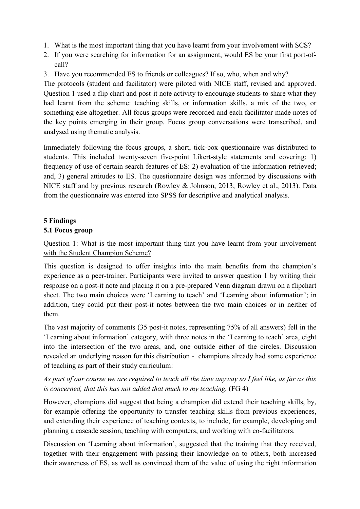- 1. What is the most important thing that you have learnt from your involvement with SCS?
- 2. If you were searching for information for an assignment, would ES be your first port-ofcall?
- 3. Have you recommended ES to friends or colleagues? If so, who, when and why?

The protocols (student and facilitator) were piloted with NICE staff, revised and approved. Question 1 used a flip chart and post-it note activity to encourage students to share what they had learnt from the scheme: teaching skills, or information skills, a mix of the two, or something else altogether. All focus groups were recorded and each facilitator made notes of the key points emerging in their group. Focus group conversations were transcribed, and analysed using thematic analysis.

Immediately following the focus groups, a short, tick-box questionnaire was distributed to students. This included twenty-seven five-point Likert-style statements and covering: 1) frequency of use of certain search features of ES: 2) evaluation of the information retrieved; and, 3) general attitudes to ES. The questionnaire design was informed by discussions with NICE staff and by previous research (Rowley & Johnson, 2013; Rowley et al., 2013). Data from the questionnaire was entered into SPSS for descriptive and analytical analysis.

# **5 Findings**

# **5.1 Focus group**

Question 1: What is the most important thing that you have learnt from your involvement with the Student Champion Scheme?

This question is designed to offer insights into the main benefits from the champion's experience as a peer-trainer. Participants were invited to answer question 1 by writing their response on a post-it note and placing it on a pre-prepared Venn diagram drawn on a flipchart sheet. The two main choices were 'Learning to teach' and 'Learning about information'; in addition, they could put their post-it notes between the two main choices or in neither of them.

The vast majority of comments (35 post-it notes, representing 75% of all answers) fell in the 'Learning about information' category, with three notes in the 'Learning to teach' area, eight into the intersection of the two areas, and, one outside either of the circles. Discussion revealed an underlying reason for this distribution - champions already had some experience of teaching as part of their study curriculum:

*As part of our course we are required to teach all the time anyway so I feel like, as far as this is concerned, that this has not added that much to my teaching.* (FG 4)

However, champions did suggest that being a champion did extend their teaching skills, by, for example offering the opportunity to transfer teaching skills from previous experiences, and extending their experience of teaching contexts, to include, for example, developing and planning a cascade session, teaching with computers, and working with co-facilitators.

Discussion on 'Learning about information', suggested that the training that they received, together with their engagement with passing their knowledge on to others, both increased their awareness of ES, as well as convinced them of the value of using the right information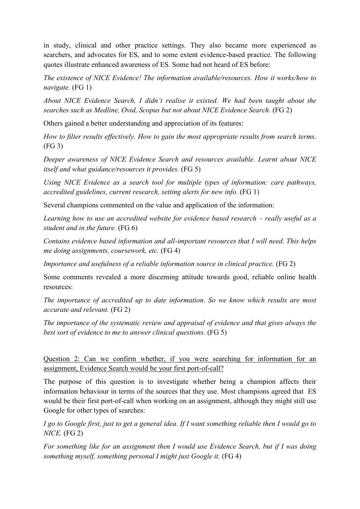in study, clinical and other practice settings. They also became more experienced as searchers, and advocates for ES, and to some extent evidence-based practice. The following quotes illustrate enhanced awareness of ES. Some had not heard of ES before:

*The existence of NICE Evidence! The information available/resources. How it works/how to navigate.* (FG 1)

*About NICE Evidence Search, I didn't realise it existed. We had been taught about the searches such as Medline, Ovid, Scopus but not about NICE Evidence Search.* (FG 2)

Others gained a better understanding and appreciation of its features:

*How to filter results effectively. How to gain the most appropriate results from search terms.*  (FG 3)

*Deeper awareness of NICE Evidence Search and resources available. Learnt about NICE itself and what guidance/resources it provides.* (FG 5)

*Using NICE Evidence as a search tool for multiple types of information: care pathways, accredited guidelines, current research, setting alerts for new info.* (FG 1)

Several champions commented on the value and application of the information:

Learning how to use an accredited website for evidence based research – really useful as a *student and in the future.* (FG 6)

*Contains evidence based information and all-important resources that I will need. This helps me doing assignments, coursework, etc.* (FG 4)

*Importance and usefulness of a reliable information source in clinical practice.* (FG 2)

Some comments revealed a more discerning attitude towards good, reliable online health resources:

*The importance of accredited up to date information. So we know which results are most accurate and relevant.* (FG 2)

*The importance of the systematic review and appraisal of evidence and that gives always the best sort of evidence to me to answer clinical questions.* (FG 5)

Question 2: Can we confirm whether, if you were searching for information for an assignment, Evidence Search would be your first port-of-call?

The purpose of this question is to investigate whether being a champion affects their information behaviour in terms of the sources that they use. Most champions agreed that ES would be their first port-of-call when working on an assignment, although they might still use Google for other types of searches:

*I go to Google first, just to get a general idea. If I want something reliable then I would go to NICE.* (FG 2)

*For something like for an assignment then I would use Evidence Search, but if I was doing something myself, something personal I might just Google it.* (FG 4)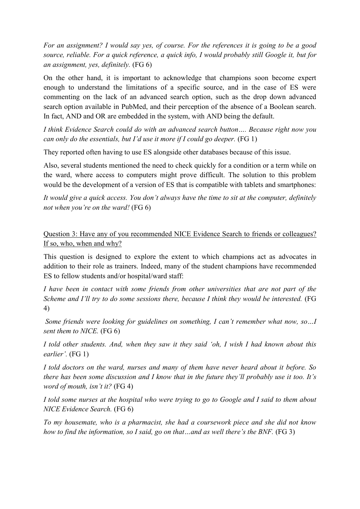*For an assignment? I would say yes, of course. For the references it is going to be a good source, reliable. For a quick reference, a quick info, I would probably still Google it, but for an assignment, yes, definitely.* (FG 6)

On the other hand, it is important to acknowledge that champions soon become expert enough to understand the limitations of a specific source, and in the case of ES were commenting on the lack of an advanced search option, such as the drop down advanced search option available in PubMed, and their perception of the absence of a Boolean search. In fact, AND and OR are embedded in the system, with AND being the default.

*I think Evidence Search could do with an advanced search button…. Because right now you can only do the essentials, but I'd use it more if I could go deeper.* (FG 1)

They reported often having to use ES alongside other databases because of this issue.

Also, several students mentioned the need to check quickly for a condition or a term while on the ward, where access to computers might prove difficult. The solution to this problem would be the development of a version of ES that is compatible with tablets and smartphones:

*It would give a quick access. You don't always have the time to sit at the computer, definitely not when you're on the ward!* (FG 6)

Question 3: Have any of you recommended NICE Evidence Search to friends or colleagues? If so, who, when and why?

This question is designed to explore the extent to which champions act as advocates in addition to their role as trainers. Indeed, many of the student champions have recommended ES to fellow students and/or hospital/ward staff:

*I have been in contact with some friends from other universities that are not part of the Scheme and I'll try to do some sessions there, because I think they would be interested.* (FG 4)

*Some friends were looking for guidelines on something, I can't remember what now, so…I sent them to NICE.* (FG 6)

*I told other students. And, when they saw it they said 'oh, I wish I had known about this earlier'.* (FG 1)

*I told doctors on the ward, nurses and many of them have never heard about it before. So there has been some discussion and I know that in the future they'll probably use it too. It's word of mouth, isn't it?* (FG 4)

*I told some nurses at the hospital who were trying to go to Google and I said to them about NICE Evidence Search.* (FG 6)

*To my housemate, who is a pharmacist, she had a coursework piece and she did not know how to find the information, so I said, go on that...and as well there's the BNF.* (FG 3)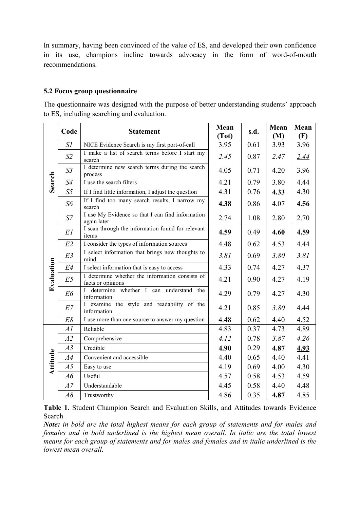In summary, having been convinced of the value of ES, and developed their own confidence in its use, champions incline towards advocacy in the form of word-of-mouth recommendations.

## **5.2 Focus group questionnaire**

The questionnaire was designed with the purpose of better understanding students' approach to ES, including searching and evaluation.

|            | Code           | <b>Statement</b>                                                     | Mean  | s.d. | Mean | Mean |
|------------|----------------|----------------------------------------------------------------------|-------|------|------|------|
|            |                |                                                                      | (Tot) |      | (M)  | (F)  |
| Search     | S1             | NICE Evidence Search is my first port-of-call                        | 3.95  | 0.61 | 3.93 | 3.96 |
|            | S <sub>2</sub> | I make a list of search terms before I start my<br>search            | 2.45  | 0.87 | 2.47 | 2.44 |
|            | S3             | I determine new search terms during the search<br>process            | 4.05  | 0.71 | 4.20 | 3.96 |
|            | S4             | I use the search filters                                             | 4.21  | 0.79 | 3.80 | 4.44 |
|            | S <sub>5</sub> | If I find little information, I adjust the question                  | 4.31  | 0.76 | 4.33 | 4.30 |
|            | S6             | If I find too many search results, I narrow my<br>search             | 4.38  | 0.86 | 4.07 | 4.56 |
|            | $\sqrt{S}$     | I use My Evidence so that I can find information<br>again later      | 2.74  | 1.08 | 2.80 | 2.70 |
| Evaluation | E1             | I scan through the information found for relevant<br>items           | 4.59  | 0.49 | 4.60 | 4.59 |
|            | E2             | I consider the types of information sources                          | 4.48  | 0.62 | 4.53 | 4.44 |
|            | E3             | I select information that brings new thoughts to<br>mind             | 3.81  | 0.69 | 3.80 | 3.81 |
|            | E4             | I select information that is easy to access                          | 4.33  | 0.74 | 4.27 | 4.37 |
|            | E5             | I determine whether the information consists of<br>facts or opinions | 4.21  | 0.90 | 4.27 | 4.19 |
|            | E <sub>6</sub> | I determine whether I can understand the<br>information              | 4.29  | 0.79 | 4.27 | 4.30 |
|            | $E7$           | I examine the style and readability of the<br>information            | 4.21  | 0.85 | 3.80 | 4.44 |
|            | E8             | I use more than one source to answer my question                     | 4.48  | 0.62 | 4.40 | 4.52 |
| Attitude   | AI             | Reliable                                                             | 4.83  | 0.37 | 4.73 | 4.89 |
|            | A2             | Comprehensive                                                        | 4.12  | 0.78 | 3.87 | 4.26 |
|            | A3             | Credible                                                             | 4.90  | 0.29 | 4.87 | 4.93 |
|            | A4             | Convenient and accessible                                            | 4.40  | 0.65 | 4.40 | 4.41 |
|            | A <sub>5</sub> | Easy to use                                                          | 4.19  | 0.69 | 4.00 | 4.30 |
|            | A6             | Useful                                                               | 4.57  | 0.58 | 4.53 | 4.59 |
|            | A7             | Understandable                                                       | 4.45  | 0.58 | 4.40 | 4.48 |
|            | A8             | Trustworthy                                                          | 4.86  | 0.35 | 4.87 | 4.85 |

**Table 1.** Student Champion Search and Evaluation Skills, and Attitudes towards Evidence Search

*Note: in bold are the total highest means for each group of statements and for males and females and in bold underlined is the highest mean overall. In italic are the total lowest means for each group of statements and for males and females and in italic underlined is the lowest mean overall.*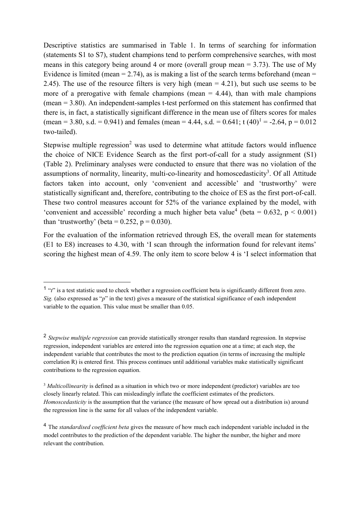Descriptive statistics are summarised in Table 1. In terms of searching for information (statements S1 to S7), student champions tend to perform comprehensive searches, with most means in this category being around 4 or more (overall group mean  $= 3.73$ ). The use of My Evidence is limited (mean  $= 2.74$ ), as is making a list of the search terms beforehand (mean  $=$ 2.45). The use of the resource filters is very high (mean = 4.21), but such use seems to be more of a prerogative with female champions (mean  $= 4.44$ ), than with male champions (mean = 3.80). An independent-samples t-test performed on this statement has confirmed that there is, in fact, a statistically significant difference in the mean use of filters scores for males (mean = 3.80, s.d. = 0.941) and females (mean = 4.44, s.d. = 0.641; t (40)<sup>1</sup> = -2.64, p = 0.012 two-tailed).

Stepwise multiple regression<sup>2</sup> was used to determine what attitude factors would influence the choice of NICE Evidence Search as the first port-of-call for a study assignment (S1) (Table 2). Preliminary analyses were conducted to ensure that there was no violation of the assumptions of normality, linearity, multi-co-linearity and homoscedasticity<sup>3</sup>. Of all Attitude factors taken into account, only 'convenient and accessible' and 'trustworthy' were statistically significant and, therefore, contributing to the choice of ES as the first port-of-call. These two control measures account for 52% of the variance explained by the model, with 'convenient and accessible' recording a much higher beta value<sup>4</sup> (beta =  $0.632$ , p <  $0.001$ ) than 'trustworthy' (beta =  $0.252$ , p =  $0.030$ ).

For the evaluation of the information retrieved through ES, the overall mean for statements (E1 to E8) increases to 4.30, with 'I scan through the information found for relevant items' scoring the highest mean of 4.59. The only item to score below 4 is 'I select information that

1

<sup>&</sup>lt;sup>1</sup> "*t*" is a test statistic used to check whether a regression coefficient beta is significantly different from zero. *Sig.* (also expressed as "*p*" in the text) gives a measure of the statistical significance of each independent variable to the equation. This value must be smaller than 0.05.

<sup>2</sup> *Stepwise multiple regression* can provide statistically stronger results than standard regression. In stepwise regression, independent variables are entered into the regression equation one at a time; at each step, the independent variable that contributes the most to the prediction equation (in terms of increasing the multiple correlation R) is entered first. This process continues until additional variables make statistically significant contributions to the regression equation.

<sup>&</sup>lt;sup>3</sup> *Multicollinearity* is defined as a situation in which two or more independent (predictor) variables are too closely linearly related. This can misleadingly inflate the coefficient estimates of the predictors. *Homoscedasticity* is the assumption that the variance (the measure of how spread out a distribution is) around the regression line is the same for all values of the independent variable.

<sup>4</sup> The *standardised coefficient beta* gives the measure of how much each independent variable included in the model contributes to the prediction of the dependent variable. The higher the number, the higher and more relevant the contribution.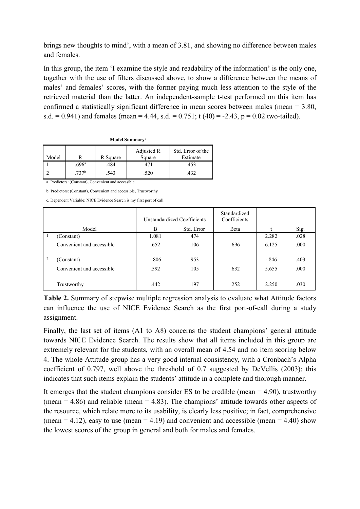brings new thoughts to mind', with a mean of 3.81, and showing no difference between males and females.

In this group, the item 'I examine the style and readability of the information' is the only one, together with the use of filters discussed above, to show a difference between the means of males' and females' scores, with the former paying much less attention to the style of the retrieved material than the latter. An independent-sample t-test performed on this item has confirmed a statistically significant difference in mean scores between males (mean = 3.80, s.d. = 0.941) and females (mean = 4.44, s.d. = 0.751; t (40) = -2.43, p = 0.02 two-tailed).

| Model Summary <sup>c</sup>                           |                   |          |                      |                               |  |  |  |  |
|------------------------------------------------------|-------------------|----------|----------------------|-------------------------------|--|--|--|--|
| Model                                                | R                 | R Square | Adjusted R<br>Square | Std. Error of the<br>Estimate |  |  |  |  |
|                                                      | .696a             | .484     | .471                 | .453                          |  |  |  |  |
|                                                      | .737 <sup>b</sup> | .543     | .520                 | .432                          |  |  |  |  |
| a. Predictors: (Constant). Convenient and accessible |                   |          |                      |                               |  |  |  |  |

b. Predictors: (Constant), Convenient and accessible, Trustworthy

c. Dependent Variable: NICE Evidence Search is my first port of call

|   |                           | <b>Unstandardized Coefficients</b> |            | Standardized<br>Coefficients |         |      |
|---|---------------------------|------------------------------------|------------|------------------------------|---------|------|
|   | Model                     | B                                  | Std. Error | Beta                         |         | Sig. |
|   | (Constant)                | 1.081                              | .474       |                              | 2.282   | .028 |
|   | Convenient and accessible | .652                               | .106       | .696                         | 6.125   | .000 |
| 2 | (Constant)                | $-.806$                            | .953       |                              | $-.846$ | .403 |
|   | Convenient and accessible | .592                               | .105       | .632                         | 5.655   | .000 |
|   | Trustworthy               | .442                               | .197       | .252                         | 2.250   | .030 |

**Table 2.** Summary of stepwise multiple regression analysis to evaluate what Attitude factors can influence the use of NICE Evidence Search as the first port-of-call during a study assignment.

Finally, the last set of items (A1 to A8) concerns the student champions' general attitude towards NICE Evidence Search. The results show that all items included in this group are extremely relevant for the students, with an overall mean of 4.54 and no item scoring below 4. The whole Attitude group has a very good internal consistency, with a Cronbach's Alpha coefficient of 0.797, well above the threshold of 0.7 suggested by DeVellis (2003); this indicates that such items explain the students' attitude in a complete and thorough manner.

It emerges that the student champions consider ES to be credible (mean  $=$  4.90), trustworthy (mean  $= 4.86$ ) and reliable (mean  $= 4.83$ ). The champions' attitude towards other aspects of the resource, which relate more to its usability, is clearly less positive; in fact, comprehensive (mean = 4.12), easy to use (mean = 4.19) and convenient and accessible (mean = 4.40) show the lowest scores of the group in general and both for males and females.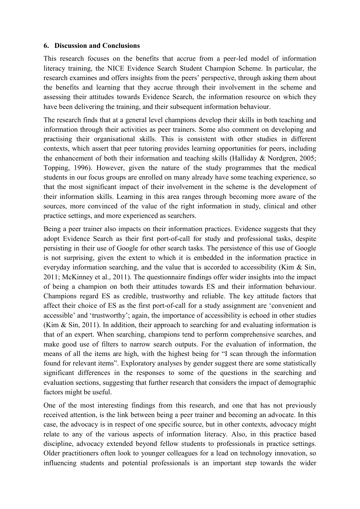#### **6. Discussion and Conclusions**

This research focuses on the benefits that accrue from a peer-led model of information literacy training, the NICE Evidence Search Student Champion Scheme. In particular, the research examines and offers insights from the peers' perspective, through asking them about the benefits and learning that they accrue through their involvement in the scheme and assessing their attitudes towards Evidence Search, the information resource on which they have been delivering the training, and their subsequent information behaviour.

The research finds that at a general level champions develop their skills in both teaching and information through their activities as peer trainers. Some also comment on developing and practising their organisational skills. This is consistent with other studies in different contexts, which assert that peer tutoring provides learning opportunities for peers, including the enhancement of both their information and teaching skills (Halliday & Nordgren, 2005; Topping, 1996). However, given the nature of the study programmes that the medical students in our focus groups are enrolled on many already have some teaching experience, so that the most significant impact of their involvement in the scheme is the development of their information skills. Learning in this area ranges through becoming more aware of the sources, more convinced of the value of the right information in study, clinical and other practice settings, and more experienced as searchers.

Being a peer trainer also impacts on their information practices. Evidence suggests that they adopt Evidence Search as their first port-of-call for study and professional tasks, despite persisting in their use of Google for other search tasks. The persistence of this use of Google is not surprising, given the extent to which it is embedded in the information practice in everyday information searching, and the value that is accorded to accessibility (Kim & Sin, 2011; McKinney et al., 2011). The questionnaire findings offer wider insights into the impact of being a champion on both their attitudes towards ES and their information behaviour. Champions regard ES as credible, trustworthy and reliable. The key attitude factors that affect their choice of ES as the first port-of-call for a study assignment are 'convenient and accessible' and 'trustworthy'; again, the importance of accessibility is echoed in other studies (Kim & Sin, 2011). In addition, their approach to searching for and evaluating information is that of an expert. When searching, champions tend to perform comprehensive searches, and make good use of filters to narrow search outputs. For the evaluation of information, the means of all the items are high, with the highest being for "I scan through the information found for relevant items". Exploratory analyses by gender suggest there are some statistically significant differences in the responses to some of the questions in the searching and evaluation sections, suggesting that further research that considers the impact of demographic factors might be useful.

One of the most interesting findings from this research, and one that has not previously received attention, is the link between being a peer trainer and becoming an advocate. In this case, the advocacy is in respect of one specific source, but in other contexts, advocacy might relate to any of the various aspects of information literacy. Also, in this practice based discipline, advocacy extended beyond fellow students to professionals in practice settings. Older practitioners often look to younger colleagues for a lead on technology innovation, so influencing students and potential professionals is an important step towards the wider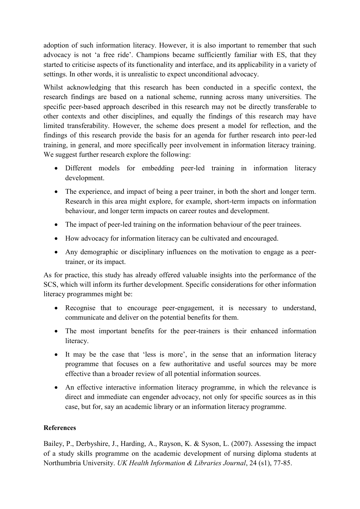adoption of such information literacy. However, it is also important to remember that such advocacy is not 'a free ride'. Champions became sufficiently familiar with ES, that they started to criticise aspects of its functionality and interface, and its applicability in a variety of settings. In other words, it is unrealistic to expect unconditional advocacy.

Whilst acknowledging that this research has been conducted in a specific context, the research findings are based on a national scheme, running across many universities. The specific peer-based approach described in this research may not be directly transferable to other contexts and other disciplines, and equally the findings of this research may have limited transferability. However, the scheme does present a model for reflection, and the findings of this research provide the basis for an agenda for further research into peer-led training, in general, and more specifically peer involvement in information literacy training. We suggest further research explore the following:

- Different models for embedding peer-led training in information literacy development.
- The experience, and impact of being a peer trainer, in both the short and longer term. Research in this area might explore, for example, short-term impacts on information behaviour, and longer term impacts on career routes and development.
- The impact of peer-led training on the information behaviour of the peer trainees.
- How advocacy for information literacy can be cultivated and encouraged.
- Any demographic or disciplinary influences on the motivation to engage as a peertrainer, or its impact.

As for practice, this study has already offered valuable insights into the performance of the SCS, which will inform its further development. Specific considerations for other information literacy programmes might be:

- Recognise that to encourage peer-engagement, it is necessary to understand, communicate and deliver on the potential benefits for them.
- The most important benefits for the peer-trainers is their enhanced information literacy.
- It may be the case that 'less is more', in the sense that an information literacy programme that focuses on a few authoritative and useful sources may be more effective than a broader review of all potential information sources.
- An effective interactive information literacy programme, in which the relevance is direct and immediate can engender advocacy, not only for specific sources as in this case, but for, say an academic library or an information literacy programme.

## **References**

Bailey, P., Derbyshire, J., Harding, A., Rayson, K. & Syson, L. (2007). Assessing the impact of a study skills programme on the academic development of nursing diploma students at Northumbria University. *UK Health Information & Libraries Journal*, 24 (s1), 77-85.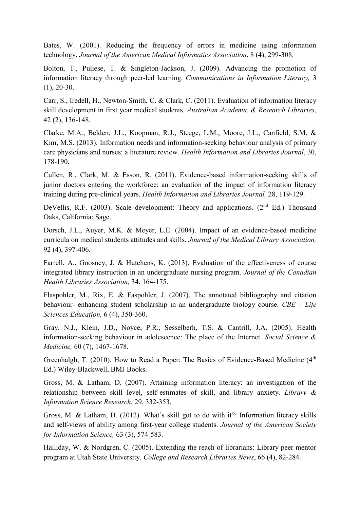Bates, W. (2001). Reducing the frequency of errors in medicine using information technology. *Journal of the American Medical Informatics Association*, 8 (4), 299-308.

Bolton, T., Puliese, T. & Singleton-Jackson, J. (2009). Advancing the promotion of information literacy through peer-led learning. *Communications in Information Literacy,* 3  $(1), 20-30.$ 

Carr, S., Iredell, H., Newton-Smith, C. & Clark, C. (2011). Evaluation of information literacy skill development in first year medical students. *Australian Academic & Research Libraries*, 42 (2), 136-148.

Clarke, M.A., Belden, J.L., Koopman, R.J., Steege, L.M., Moore, J.L., Canfield, S.M. & Kim, M.S. (2013). Information needs and information-seeking behaviour analysis of primary care physicians and nurses: a literature review. *Health Information and Libraries Journal*, 30, 178-190.

Cullen, R., Clark, M. & Esson, R. (2011). Evidence-based information-seeking skills of junior doctors entering the workforce: an evaluation of the impact of information literacy training during pre-clinical years. *Health Information and Libraries Journal,* 28, 119-129.

DeVellis, R.F. (2003). Scale development: Theory and applications. (2<sup>nd</sup> Ed.) Thousand Oaks, California: Sage.

Dorsch, J.L., Auyer, M.K. & Meyer, L.E. (2004). Impact of an evidence-based medicine curricula on medical students attitudes and skills. *Journal of the Medical Library Association,*  92 (4), 397-406.

Farrell, A., Goosney, J. & Hutchens, K. (2013). Evaluation of the effectiveness of course integrated library instruction in an undergraduate nursing program. *Journal of the Canadian Health Libraries Association,* 34, 164-175.

Flaspohler, M., Rix, E. & Faspohler, J. (2007). The annotated bibliography and citation behaviour- enhancing student scholarship in an undergraduate biology course. *CBE – Life Sciences Education,* 6 (4), 350-360.

Gray, N.J., Klein, J.D., Noyce, P.R., Sesselberh, T.S. & Cantrill, J.A. (2005). Health information-seeking behaviour in adolescence: The place of the Internet. *Social Science & Medicine,* 60 (7), 1467-1678.

Greenhalgh, T. (2010). How to Read a Paper: The Basics of Evidence-Based Medicine  $(4<sup>th</sup>$ Ed.) Wiley-Blackwell, BMJ Books.

Gross, M. & Latham, D. (2007). Attaining information literacy: an investigation of the relationship between skill level, self-estimates of skill, and library anxiety. *Library & Information Science Research*, 29, 332-353.

Gross, M. & Latham, D. (2012). What's skill got to do with it?: Information literacy skills and self-views of ability among first-year college students. *Journal of the American Society for Information Science,* 63 (3), 574-583.

Halliday, W. & Nordgren, C. (2005). Extending the reach of librarians: Library peer mentor program at Utah State University. *College and Research Libraries News*, 66 (4), 82-284.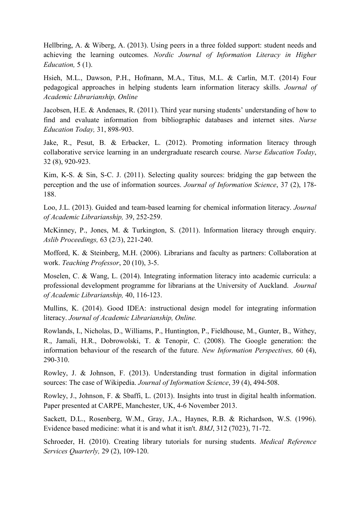Hellbring, A. & Wiberg, A. (2013). Using peers in a three folded support: student needs and achieving the learning outcomes. *Nordic Journal of Information Literacy in Higher Education,* 5 (1).

Hsieh, M.L., Dawson, P.H., Hofmann, M.A., Titus, M.L. & Carlin, M.T. (2014) Four pedagogical approaches in helping students learn information literacy skills. *Journal of Academic Librarianship, Online*

Jacobsen, H.E. & Andenaes, R. (2011). Third year nursing students' understanding of how to find and evaluate information from bibliographic databases and internet sites. *Nurse Education Today,* 31, 898-903.

Jake, R., Pesut, B. & Erbacker, L. (2012). Promoting information literacy through collaborative service learning in an undergraduate research course. *Nurse Education Today*, 32 (8), 920-923.

Kim, K-S. & Sin, S-C. J. (2011). Selecting quality sources: bridging the gap between the perception and the use of information sources. *Journal of Information Science*, 37 (2), 178- 188.

Loo, J.L. (2013). Guided and team-based learning for chemical information literacy. *Journal of Academic Librarianship,* 39, 252-259.

McKinney, P., Jones, M. & Turkington, S. (2011). Information literacy through enquiry. *Aslib Proceedings,* 63 (2/3), 221-240.

Mofford, K. & Steinberg, M.H. (2006). Librarians and faculty as partners: Collaboration at work. *Teaching Professor*, 20 (10), 3-5.

Moselen, C. & Wang, L. (2014). Integrating information literacy into academic curricula: a professional development programme for librarians at the University of Auckland. *Journal of Academic Librarianship,* 40, 116-123.

Mullins, K. (2014). Good IDEA: instructional design model for integrating information literacy. *Journal of Academic Librarianship, Online.* 

Rowlands, I., Nicholas, D., Williams, P., Huntington, P., Fieldhouse, M., Gunter, B., Withey, R., Jamali, H.R., Dobrowolski, T. & Tenopir, C. (2008). The Google generation: the information behaviour of the research of the future. *New Information Perspectives,* 60 (4), 290-310.

Rowley, J. & Johnson, F. (2013). Understanding trust formation in digital information sources: The case of Wikipedia. *Journal of Information Science*, 39 (4), 494-508.

Rowley, J., Johnson, F. & Sbaffi, L. (2013). Insights into trust in digital health information. Paper presented at CARPE, Manchester, UK, 4-6 November 2013.

Sackett, D.L., Rosenberg, W.M., Gray, J.A., Haynes, R.B. & Richardson, W.S. (1996). Evidence based medicine: what it is and what it isn't. *BMJ*, 312 (7023), 71-72.

Schroeder, H. (2010). Creating library tutorials for nursing students. *Medical Reference Services Quarterly,* 29 (2), 109-120.